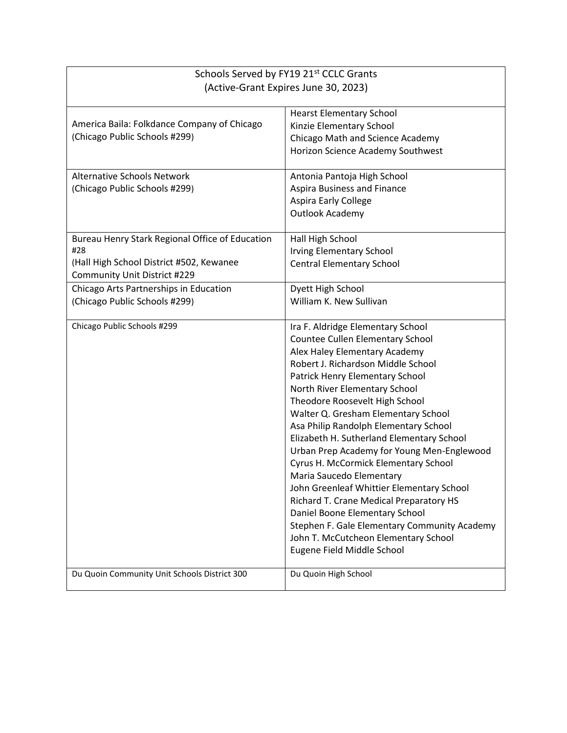| Schools Served by FY19 21 <sup>st</sup> CCLC Grants                                                                                |                                                                                                                                                                                                                                                                                                                                                                                                                                                                                                                                                                                                                                                                                                                                                   |  |
|------------------------------------------------------------------------------------------------------------------------------------|---------------------------------------------------------------------------------------------------------------------------------------------------------------------------------------------------------------------------------------------------------------------------------------------------------------------------------------------------------------------------------------------------------------------------------------------------------------------------------------------------------------------------------------------------------------------------------------------------------------------------------------------------------------------------------------------------------------------------------------------------|--|
| (Active-Grant Expires June 30, 2023)                                                                                               |                                                                                                                                                                                                                                                                                                                                                                                                                                                                                                                                                                                                                                                                                                                                                   |  |
| America Baila: Folkdance Company of Chicago<br>(Chicago Public Schools #299)                                                       | <b>Hearst Elementary School</b><br>Kinzie Elementary School<br>Chicago Math and Science Academy<br>Horizon Science Academy Southwest                                                                                                                                                                                                                                                                                                                                                                                                                                                                                                                                                                                                              |  |
| <b>Alternative Schools Network</b><br>(Chicago Public Schools #299)                                                                | Antonia Pantoja High School<br>Aspira Business and Finance<br>Aspira Early College<br>Outlook Academy                                                                                                                                                                                                                                                                                                                                                                                                                                                                                                                                                                                                                                             |  |
| Bureau Henry Stark Regional Office of Education<br>#28<br>(Hall High School District #502, Kewanee<br>Community Unit District #229 | Hall High School<br><b>Irving Elementary School</b><br><b>Central Elementary School</b>                                                                                                                                                                                                                                                                                                                                                                                                                                                                                                                                                                                                                                                           |  |
| Chicago Arts Partnerships in Education<br>(Chicago Public Schools #299)                                                            | Dyett High School<br>William K. New Sullivan                                                                                                                                                                                                                                                                                                                                                                                                                                                                                                                                                                                                                                                                                                      |  |
| Chicago Public Schools #299                                                                                                        | Ira F. Aldridge Elementary School<br>Countee Cullen Elementary School<br>Alex Haley Elementary Academy<br>Robert J. Richardson Middle School<br>Patrick Henry Elementary School<br>North River Elementary School<br>Theodore Roosevelt High School<br>Walter Q. Gresham Elementary School<br>Asa Philip Randolph Elementary School<br>Elizabeth H. Sutherland Elementary School<br>Urban Prep Academy for Young Men-Englewood<br>Cyrus H. McCormick Elementary School<br>Maria Saucedo Elementary<br>John Greenleaf Whittier Elementary School<br>Richard T. Crane Medical Preparatory HS<br>Daniel Boone Elementary School<br>Stephen F. Gale Elementary Community Academy<br>John T. McCutcheon Elementary School<br>Eugene Field Middle School |  |
| Du Quoin Community Unit Schools District 300                                                                                       | Du Quoin High School                                                                                                                                                                                                                                                                                                                                                                                                                                                                                                                                                                                                                                                                                                                              |  |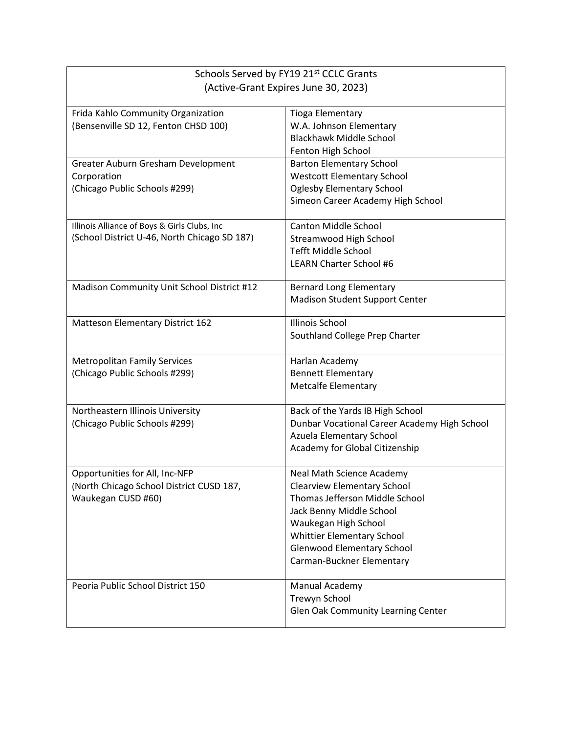|                                                                                                  | Schools Served by FY19 21 <sup>st</sup> CCLC Grants                                                                                                                                                                                                   |  |
|--------------------------------------------------------------------------------------------------|-------------------------------------------------------------------------------------------------------------------------------------------------------------------------------------------------------------------------------------------------------|--|
| (Active-Grant Expires June 30, 2023)                                                             |                                                                                                                                                                                                                                                       |  |
| Frida Kahlo Community Organization<br>(Bensenville SD 12, Fenton CHSD 100)                       | <b>Tioga Elementary</b><br>W.A. Johnson Elementary<br><b>Blackhawk Middle School</b><br>Fenton High School                                                                                                                                            |  |
| Greater Auburn Gresham Development<br>Corporation<br>(Chicago Public Schools #299)               | <b>Barton Elementary School</b><br><b>Westcott Elementary School</b><br><b>Oglesby Elementary School</b><br>Simeon Career Academy High School                                                                                                         |  |
| Illinois Alliance of Boys & Girls Clubs, Inc<br>(School District U-46, North Chicago SD 187)     | <b>Canton Middle School</b><br>Streamwood High School<br><b>Tefft Middle School</b><br><b>LEARN Charter School #6</b>                                                                                                                                 |  |
| Madison Community Unit School District #12                                                       | <b>Bernard Long Elementary</b><br>Madison Student Support Center                                                                                                                                                                                      |  |
| Matteson Elementary District 162                                                                 | <b>Illinois School</b><br>Southland College Prep Charter                                                                                                                                                                                              |  |
| <b>Metropolitan Family Services</b><br>(Chicago Public Schools #299)                             | Harlan Academy<br><b>Bennett Elementary</b><br><b>Metcalfe Elementary</b>                                                                                                                                                                             |  |
| Northeastern Illinois University<br>(Chicago Public Schools #299)                                | Back of the Yards IB High School<br>Dunbar Vocational Career Academy High School<br>Azuela Elementary School<br>Academy for Global Citizenship                                                                                                        |  |
| Opportunities for All, Inc-NFP<br>(North Chicago School District CUSD 187,<br>Waukegan CUSD #60) | Neal Math Science Academy<br><b>Clearview Elementary School</b><br>Thomas Jefferson Middle School<br>Jack Benny Middle School<br>Waukegan High School<br>Whittier Elementary School<br><b>Glenwood Elementary School</b><br>Carman-Buckner Elementary |  |
| Peoria Public School District 150                                                                | Manual Academy<br>Trewyn School<br>Glen Oak Community Learning Center                                                                                                                                                                                 |  |